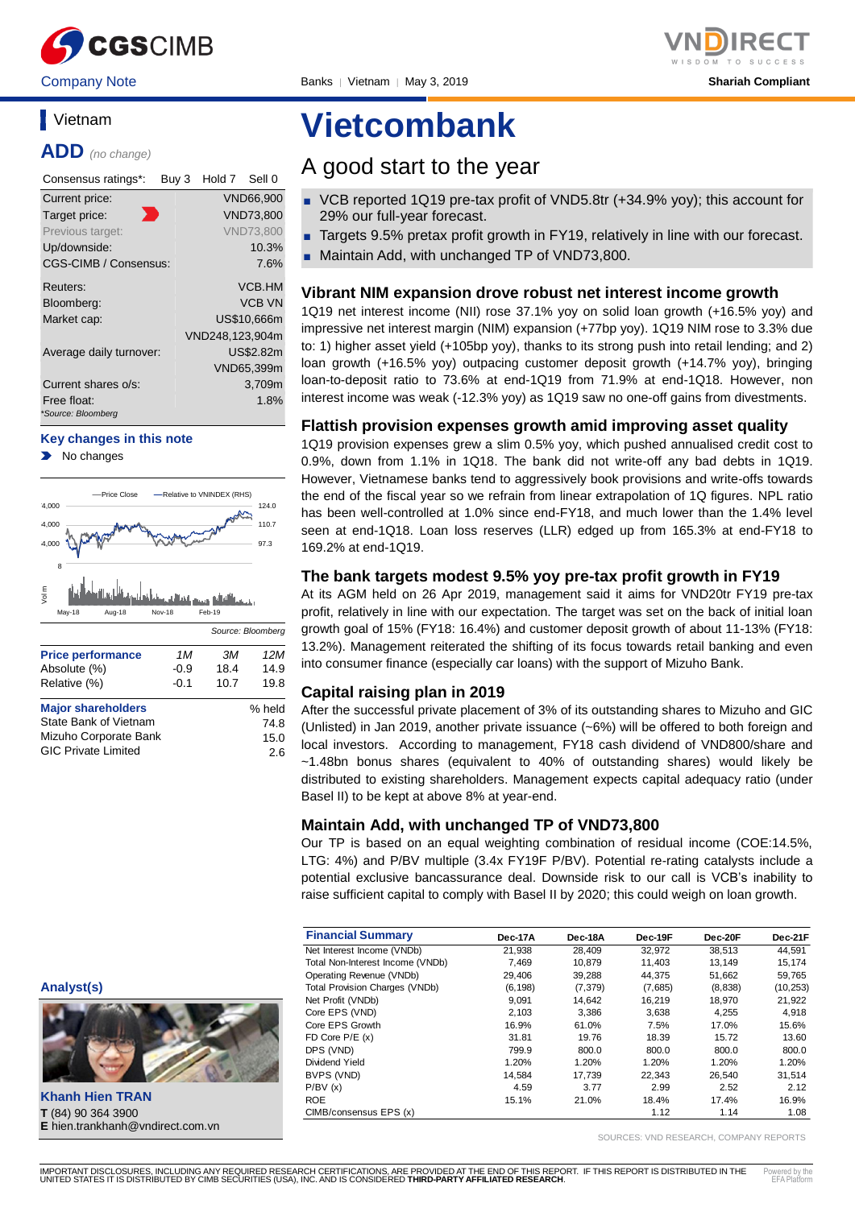

# **Vietnam**

**ADD** *(no change)*

| Consensus ratings*:               | Buy 3 | Hold 7          | Sell 0           |
|-----------------------------------|-------|-----------------|------------------|
| Current price:                    |       |                 | VND66.900        |
| Target price:                     |       |                 | <b>VND73,800</b> |
| Previous target:                  |       |                 | <b>VND73.800</b> |
| Up/downside:                      |       |                 | 10.3%            |
| <b>CGS-CIMB / Consensus:</b>      |       |                 | 7.6%             |
| Reuters:                          |       |                 | VCB.HM           |
| Bloomberg:                        |       |                 | <b>VCB VN</b>    |
| Market cap:                       |       |                 | US\$10.666m      |
|                                   |       | VND248,123,904m |                  |
| Average daily turnover:           |       |                 | US\$2.82m        |
|                                   |       |                 | VND65,399m       |
| Current shares o/s:               |       |                 | 3,709m           |
| Free float:<br>*Source: Bloomberg |       |                 | 1.8%             |

#### **Key changes in this note**

No changes



| <b>Major shareholders</b>  | % held |
|----------------------------|--------|
| State Bank of Vietnam      | 74.8   |
| Mizuho Corporate Bank      | 15.0   |
| <b>GIC Private Limited</b> | 2.6    |

# **Vietcombank**

# A good start to the year

- VCB reported 1Q19 pre-tax profit of VND5.8tr (+34.9% yoy); this account for 29% our full-year forecast.
- Targets 9.5% pretax profit growth in FY19, relatively in line with our forecast.
- Maintain Add, with unchanged TP of VND73,800.

# **Vibrant NIM expansion drove robust net interest income growth**

1Q19 net interest income (NII) rose 37.1% yoy on solid loan growth (+16.5% yoy) and impressive net interest margin (NIM) expansion (+77bp yoy). 1Q19 NIM rose to 3.3% due to: 1) higher asset yield (+105bp yoy), thanks to its strong push into retail lending; and 2) loan growth (+16.5% yoy) outpacing customer deposit growth (+14.7% yoy), bringing loan-to-deposit ratio to 73.6% at end-1Q19 from 71.9% at end-1Q18. However, non interest income was weak (-12.3% yoy) as 1Q19 saw no one-off gains from divestments.

# **Flattish provision expenses growth amid improving asset quality**

1Q19 provision expenses grew a slim 0.5% yoy, which pushed annualised credit cost to 0.9%, down from 1.1% in 1Q18. The bank did not write-off any bad debts in 1Q19. However, Vietnamese banks tend to aggressively book provisions and write-offs towards the end of the fiscal year so we refrain from linear extrapolation of 1Q figures. NPL ratio has been well-controlled at 1.0% since end-FY18, and much lower than the 1.4% level seen at end-1Q18. Loan loss reserves (LLR) edged up from 165.3% at end-FY18 to 169.2% at end-1Q19.

# **The bank targets modest 9.5% yoy pre-tax profit growth in FY19**

At its AGM held on 26 Apr 2019, management said it aims for VND20tr FY19 pre-tax profit, relatively in line with our expectation. The target was set on the back of initial loan growth goal of 15% (FY18: 16.4%) and customer deposit growth of about 11-13% (FY18: 13.2%). Management reiterated the shifting of its focus towards retail banking and even into consumer finance (especially car loans) with the support of Mizuho Bank.

# **Capital raising plan in 2019**

After the successful private placement of 3% of its outstanding shares to Mizuho and GIC (Unlisted) in Jan 2019, another private issuance (~6%) will be offered to both foreign and local investors. According to management, FY18 cash dividend of VND800/share and ~1.48bn bonus shares (equivalent to 40% of outstanding shares) would likely be distributed to existing shareholders. Management expects capital adequacy ratio (under Basel II) to be kept at above 8% at year-end.

# **Maintain Add, with unchanged TP of VND73,800**

Our TP is based on an equal weighting combination of residual income (COE:14.5%, LTG: 4%) and P/BV multiple (3.4x FY19F P/BV). Potential re-rating catalysts include a potential exclusive bancassurance deal. Downside risk to our call is VCB's inability to raise sufficient capital to comply with Basel II by 2020; this could weigh on loan growth.

| <b>Financial Summary</b>              | Dec-17A  | Dec-18A  | Dec-19F | Dec-20F | Dec-21F   |
|---------------------------------------|----------|----------|---------|---------|-----------|
| Net Interest Income (VNDb)            | 21.938   | 28.409   | 32,972  | 38,513  | 44.591    |
| Total Non-Interest Income (VNDb)      | 7.469    | 10.879   | 11.403  | 13.149  | 15.174    |
| Operating Revenue (VNDb)              | 29.406   | 39,288   | 44.375  | 51,662  | 59,765    |
| <b>Total Provision Charges (VNDb)</b> | (6, 198) | (7, 379) | (7,685) | (8,838) | (10, 253) |
| Net Profit (VNDb)                     | 9,091    | 14,642   | 16,219  | 18,970  | 21,922    |
| Core EPS (VND)                        | 2.103    | 3.386    | 3.638   | 4.255   | 4,918     |
| Core EPS Growth                       | 16.9%    | 61.0%    | 7.5%    | 17.0%   | 15.6%     |
| FD Core $P/E(x)$                      | 31.81    | 19.76    | 18.39   | 15.72   | 13.60     |
| DPS (VND)                             | 799.9    | 800.0    | 800.0   | 800.0   | 800.0     |
| Dividend Yield                        | 1.20%    | 1.20%    | 1.20%   | 1.20%   | 1.20%     |
| BVPS (VND)                            | 14.584   | 17.739   | 22.343  | 26.540  | 31.514    |
| P/BV(x)                               | 4.59     | 3.77     | 2.99    | 2.52    | 2.12      |
| <b>ROE</b>                            | 15.1%    | 21.0%    | 18.4%   | 17.4%   | 16.9%     |
| CIMB/consensus EPS (x)                |          |          | 1.12    | 1.14    | 1.08      |

SOURCES: VND RESEARCH, COMPANY REPORTS

**Analyst(s)**



**Khanh Hien TRAN T** (84) 90 364 3900 **E** hien.trankhanh@vndirect.com.vn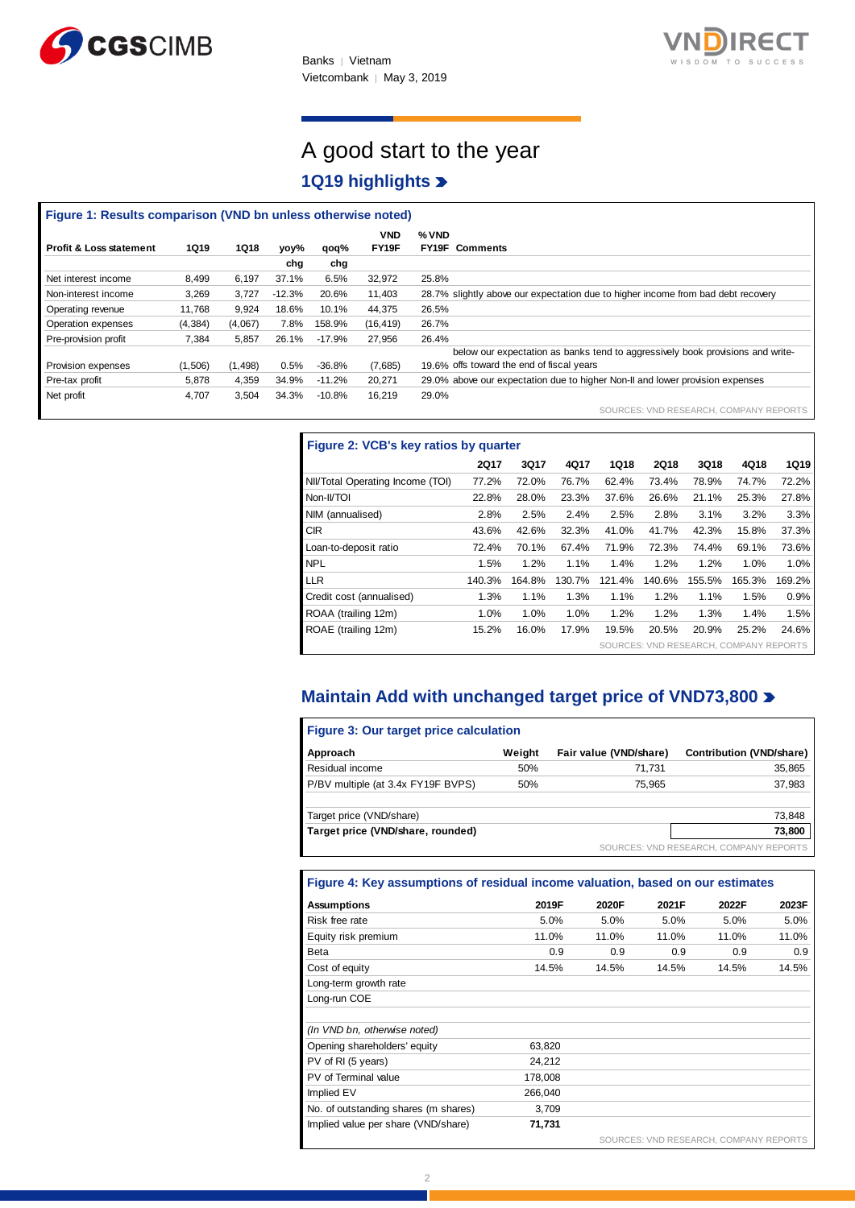



# A good start to the year **1Q19 highlights**

| Figure 1: Results comparison (VND bn unless otherwise noted) |             |             |          |          |            |                                                                                  |
|--------------------------------------------------------------|-------------|-------------|----------|----------|------------|----------------------------------------------------------------------------------|
|                                                              |             |             |          |          | <b>VND</b> | % VND                                                                            |
| <b>Profit &amp; Loss statement</b>                           | <b>1Q19</b> | <b>1Q18</b> | yoy%     | qoq%     | FY19F      | FY19F<br><b>Comments</b>                                                         |
|                                                              |             |             | chg      | chg      |            |                                                                                  |
| Net interest income                                          | 8.499       | 6.197       | 37.1%    | 6.5%     | 32,972     | 25.8%                                                                            |
| Non-interest income                                          | 3,269       | 3.727       | $-12.3%$ | 20.6%    | 11,403     | 28.7% slightly above our expectation due to higher income from bad debt recovery |
| Operating revenue                                            | 11.768      | 9.924       | 18.6%    | 10.1%    | 44,375     | 26.5%                                                                            |
| Operation expenses                                           | (4, 384)    | (4,067)     | 7.8%     | 158.9%   | (16, 419)  | 26.7%                                                                            |
| Pre-provision profit                                         | 7,384       | 5.857       | 26.1%    | $-17.9%$ | 27,956     | 26.4%                                                                            |
|                                                              |             |             |          |          |            | below our expectation as banks tend to aggressively book provisions and write-   |
| Provision expenses                                           | (1,506)     | (1, 498)    | 0.5%     | $-36.8%$ | (7,685)    | 19.6% offs toward the end of fiscal years                                        |
| Pre-tax profit                                               | 5,878       | 4,359       | 34.9%    | $-11.2%$ | 20,271     | 29.0% above our expectation due to higher Non-II and lower provision expenses    |
| Net profit                                                   | 4,707       | 3,504       | 34.3%    | $-10.8%$ | 16,219     | 29.0%                                                                            |
|                                                              |             |             |          |          |            | SOURCES: VND RESEARCH, COMPANY REPORTS                                           |

| Figure 2: VCB's key ratios by quarter |             |        |        |        |                                        |        |        |             |  |  |
|---------------------------------------|-------------|--------|--------|--------|----------------------------------------|--------|--------|-------------|--|--|
|                                       | <b>2Q17</b> | 3Q17   | 4Q17   | 1Q18   | <b>2Q18</b>                            | 3Q18   | 4Q18   | <b>1Q19</b> |  |  |
| NII/Total Operating Income (TOI)      | 77.2%       | 72.0%  | 76.7%  | 62.4%  | 73.4%                                  | 78.9%  | 74.7%  | 72.2%       |  |  |
| Non-II/TOI                            | 22.8%       | 28.0%  | 23.3%  | 37.6%  | 26.6%                                  | 21.1%  | 25.3%  | 27.8%       |  |  |
| NIM (annualised)                      | 2.8%        | 2.5%   | 2.4%   | 2.5%   | 2.8%                                   | 3.1%   | 3.2%   | 3.3%        |  |  |
| <b>CIR</b>                            | 43.6%       | 42.6%  | 32.3%  | 41.0%  | 41.7%                                  | 42.3%  | 15.8%  | 37.3%       |  |  |
| Loan-to-deposit ratio                 | 72.4%       | 70.1%  | 67.4%  | 71.9%  | 72.3%                                  | 74.4%  | 69.1%  | 73.6%       |  |  |
| <b>NPL</b>                            | 1.5%        | 1.2%   | 1.1%   | 1.4%   | 1.2%                                   | 1.2%   | 1.0%   | 1.0%        |  |  |
| <b>LLR</b>                            | 140.3%      | 164.8% | 130.7% | 121.4% | 140.6%                                 | 155.5% | 165.3% | 169.2%      |  |  |
| Credit cost (annualised)              | 1.3%        | 1.1%   | 1.3%   | 1.1%   | 1.2%                                   | 1.1%   | 1.5%   | 0.9%        |  |  |
| ROAA (trailing 12m)                   | 1.0%        | 1.0%   | 1.0%   | 1.2%   | 1.2%                                   | 1.3%   | 1.4%   | 1.5%        |  |  |
| ROAE (trailing 12m)                   | 15.2%       | 16.0%  | 17.9%  | 19.5%  | 20.5%                                  | 20.9%  | 25.2%  | 24.6%       |  |  |
|                                       |             |        |        |        | SOURCES: VND RESEARCH, COMPANY REPORTS |        |        |             |  |  |

# **Maintain Add with unchanged target price of VND73,800**

| Figure 3: Our target price calculation |        |                        |                                        |
|----------------------------------------|--------|------------------------|----------------------------------------|
| Approach                               | Weight | Fair value (VND/share) | <b>Contribution (VND/share)</b>        |
| Residual income                        | 50%    | 71.731                 | 35,865                                 |
| P/BV multiple (at 3.4x FY19F BVPS)     | 50%    | 75.965                 | 37,983                                 |
| Target price (VND/share)               |        |                        | 73,848                                 |
| Target price (VND/share, rounded)      |        |                        | 73,800                                 |
|                                        |        |                        | SOURCES: VND RESEARCH, COMPANY REPORTS |

# **Figure 4: Key assumptions of residual income valuation, based on our estimates**

| <b>Assumptions</b>                   | 2019F   | 2020F | 2021F | 2022F                                  | 2023F |
|--------------------------------------|---------|-------|-------|----------------------------------------|-------|
| Risk free rate                       | 5.0%    | 5.0%  | 5.0%  | 5.0%                                   | 5.0%  |
| Equity risk premium                  | 11.0%   | 11.0% | 11.0% | 11.0%                                  | 11.0% |
| <b>Beta</b>                          | 0.9     | 0.9   | 0.9   | 0.9                                    | 0.9   |
| Cost of equity                       | 14.5%   | 14.5% | 14.5% | 14.5%                                  | 14.5% |
| Long-term growth rate                |         |       |       |                                        |       |
| Long-run COE                         |         |       |       |                                        |       |
|                                      |         |       |       |                                        |       |
| (In VND bn, otherwise noted)         |         |       |       |                                        |       |
| Opening shareholders' equity         | 63,820  |       |       |                                        |       |
| PV of RI (5 years)                   | 24,212  |       |       |                                        |       |
| PV of Terminal value                 | 178,008 |       |       |                                        |       |
| Implied EV                           | 266,040 |       |       |                                        |       |
| No. of outstanding shares (m shares) | 3,709   |       |       |                                        |       |
| Implied value per share (VND/share)  | 71,731  |       |       |                                        |       |
|                                      |         |       |       | SOURCES: VND RESEARCH, COMPANY REPORTS |       |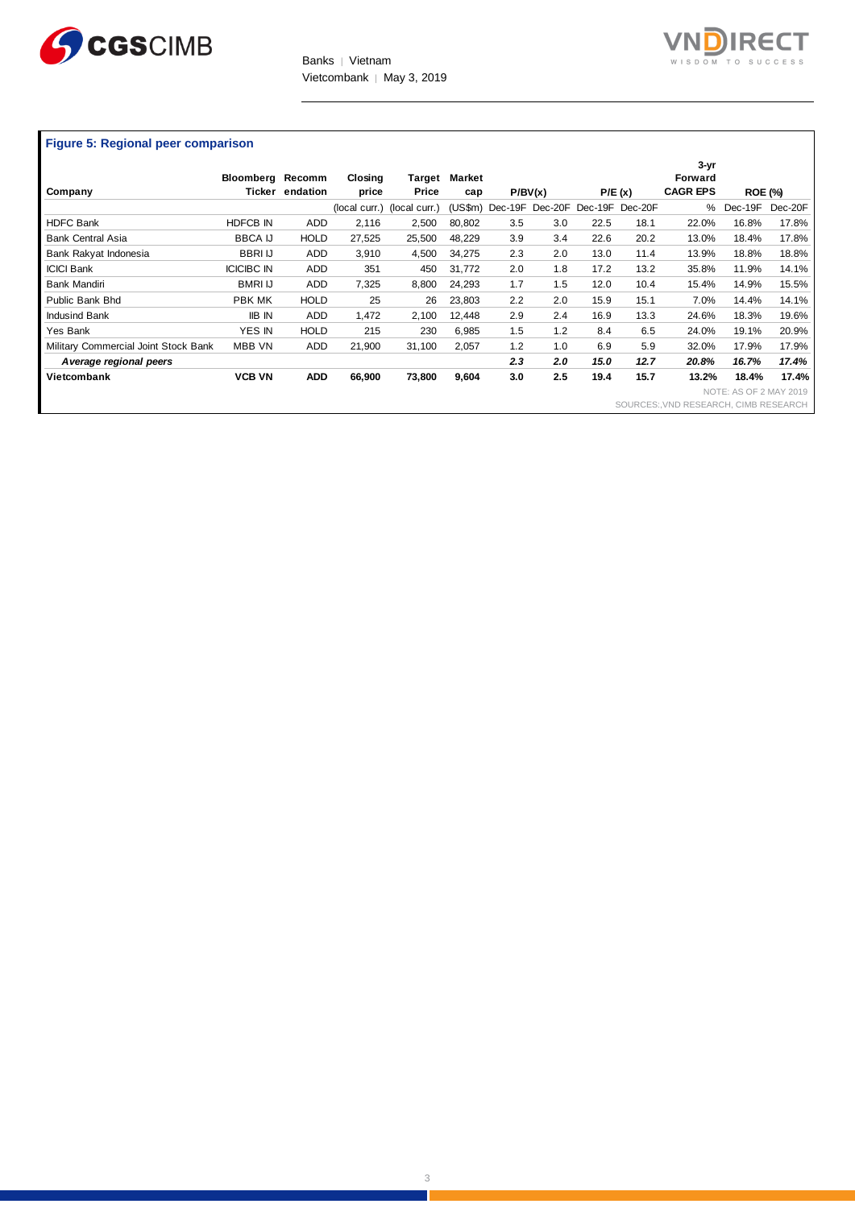



# **Figure 5: Regional peer comparison**

| Company                              | Bloomberg Recomm<br>Ticker | endation    | Closing<br>price            | Target<br>Price | <b>Market</b><br>cap |     | P/BV(x)                         |      | P/E(x) | $3 - yr$<br>Forward<br><b>CAGR EPS</b> | <b>ROE (%)</b>         |         |
|--------------------------------------|----------------------------|-------------|-----------------------------|-----------------|----------------------|-----|---------------------------------|------|--------|----------------------------------------|------------------------|---------|
|                                      |                            |             | (local curr.) (local curr.) |                 | (US\$m)              |     | Dec-19F Dec-20F Dec-19F Dec-20F |      |        | $\%$                                   | Dec-19F                | Dec-20F |
| <b>HDFC Bank</b>                     | <b>HDFCB IN</b>            | <b>ADD</b>  | 2,116                       | 2,500           | 80,802               | 3.5 | 3.0                             | 22.5 | 18.1   | 22.0%                                  | 16.8%                  | 17.8%   |
| <b>Bank Central Asia</b>             | <b>BBCA IJ</b>             | <b>HOLD</b> | 27,525                      | 25,500          | 48,229               | 3.9 | 3.4                             | 22.6 | 20.2   | 13.0%                                  | 18.4%                  | 17.8%   |
| Bank Rakyat Indonesia                | <b>BBRIU</b>               | <b>ADD</b>  | 3,910                       | 4,500           | 34,275               | 2.3 | 2.0                             | 13.0 | 11.4   | 13.9%                                  | 18.8%                  | 18.8%   |
| <b>ICICI Bank</b>                    | <b>ICICIBC IN</b>          | <b>ADD</b>  | 351                         | 450             | 31,772               | 2.0 | 1.8                             | 17.2 | 13.2   | 35.8%                                  | 11.9%                  | 14.1%   |
| <b>Bank Mandiri</b>                  | <b>BMRI IJ</b>             | <b>ADD</b>  | 7,325                       | 8,800           | 24,293               | 1.7 | 1.5                             | 12.0 | 10.4   | 15.4%                                  | 14.9%                  | 15.5%   |
| Public Bank Bhd                      | PBK MK                     | <b>HOLD</b> | 25                          | 26              | 23,803               | 2.2 | 2.0                             | 15.9 | 15.1   | 7.0%                                   | 14.4%                  | 14.1%   |
| <b>Indusind Bank</b>                 | <b>IIB IN</b>              | <b>ADD</b>  | 1,472                       | 2,100           | 12,448               | 2.9 | 2.4                             | 16.9 | 13.3   | 24.6%                                  | 18.3%                  | 19.6%   |
| Yes Bank                             | YES IN                     | <b>HOLD</b> | 215                         | 230             | 6,985                | 1.5 | 1.2                             | 8.4  | 6.5    | 24.0%                                  | 19.1%                  | 20.9%   |
| Military Commercial Joint Stock Bank | MBB VN                     | <b>ADD</b>  | 21,900                      | 31,100          | 2,057                | 1.2 | 1.0                             | 6.9  | 5.9    | 32.0%                                  | 17.9%                  | 17.9%   |
| Average regional peers               |                            |             |                             |                 |                      | 2.3 | 2.0                             | 15.0 | 12.7   | 20.8%                                  | 16.7%                  | 17.4%   |
| Vietcombank                          | <b>VCB VN</b>              | <b>ADD</b>  | 66,900                      | 73,800          | 9,604                | 3.0 | 2.5                             | 19.4 | 15.7   | 13.2%                                  | 18.4%                  | 17.4%   |
|                                      |                            |             |                             |                 |                      |     |                                 |      |        |                                        | NOTE: AS OF 2 MAY 2019 |         |
|                                      |                            |             |                             |                 |                      |     |                                 |      |        | SOURCES: VND RESEARCH, CIMB RESEARCH   |                        |         |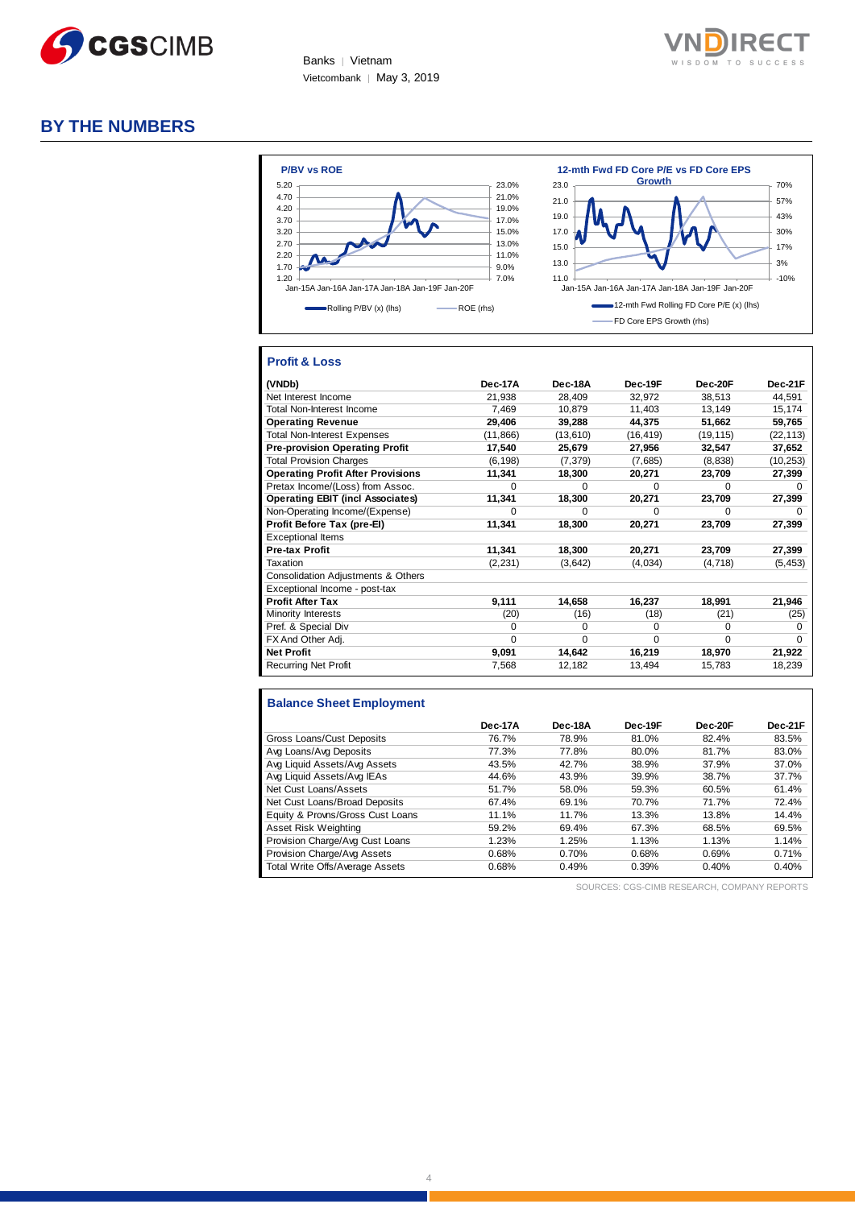

Banks | Vietnam Vietcombank | May 3, 2019



# **BY THE NUMBERS**



# **Profit & Loss**

| (VNDb)                                   | Dec-17A   | Dec-18A  | Dec-19F   | Dec-20F   | Dec-21F   |
|------------------------------------------|-----------|----------|-----------|-----------|-----------|
| Net Interest Income                      | 21,938    | 28,409   | 32,972    | 38,513    | 44,591    |
| <b>Total Non-Interest Income</b>         | 7.469     | 10.879   | 11.403    | 13.149    | 15,174    |
| <b>Operating Revenue</b>                 | 29,406    | 39,288   | 44,375    | 51,662    | 59,765    |
| <b>Total Non-Interest Expenses</b>       | (11, 866) | (13,610) | (16, 419) | (19, 115) | (22, 113) |
| <b>Pre-provision Operating Profit</b>    | 17,540    | 25,679   | 27,956    | 32,547    | 37,652    |
| <b>Total Provision Charges</b>           | (6, 198)  | (7, 379) | (7,685)   | (8,838)   | (10, 253) |
| <b>Operating Profit After Provisions</b> | 11,341    | 18,300   | 20,271    | 23,709    | 27,399    |
| Pretax Income/(Loss) from Assoc.         | $\Omega$  | $\Omega$ | $\Omega$  | $\Omega$  | $\Omega$  |
| <b>Operating EBIT (incl Associates)</b>  | 11,341    | 18,300   | 20,271    | 23,709    | 27,399    |
| Non-Operating Income/(Expense)           | $\Omega$  | $\Omega$ | $\Omega$  | $\Omega$  | $\Omega$  |
| Profit Before Tax (pre-El)               | 11,341    | 18,300   | 20,271    | 23,709    | 27,399    |
| <b>Exceptional Items</b>                 |           |          |           |           |           |
| Pre-tax Profit                           | 11,341    | 18,300   | 20,271    | 23,709    | 27,399    |
| Taxation                                 | (2, 231)  | (3,642)  | (4,034)   | (4,718)   | (5, 453)  |
| Consolidation Adjustments & Others       |           |          |           |           |           |
| Exceptional Income - post-tax            |           |          |           |           |           |
| <b>Profit After Tax</b>                  | 9,111     | 14,658   | 16,237    | 18,991    | 21,946    |
| Minority Interests                       | (20)      | (16)     | (18)      | (21)      | (25)      |
| Pref. & Special Div                      | $\Omega$  | $\Omega$ | $\Omega$  | $\Omega$  | $\Omega$  |
| FX And Other Adj.                        | $\Omega$  | 0        | $\Omega$  | $\Omega$  | $\Omega$  |
| <b>Net Profit</b>                        | 9,091     | 14,642   | 16,219    | 18,970    | 21,922    |
| <b>Recurring Net Profit</b>              | 7,568     | 12,182   | 13,494    | 15,783    | 18,239    |

#### **Balance Sheet Employment**

|                                  | Dec-17A | Dec-18A | Dec-19F | Dec-20F | Dec-21F |
|----------------------------------|---------|---------|---------|---------|---------|
| Gross Loans/Cust Deposits        | 76.7%   | 78.9%   | 81.0%   | 82.4%   | 83.5%   |
| Avg Loans/Avg Deposits           | 77.3%   | 77.8%   | 80.0%   | 81.7%   | 83.0%   |
| Avg Liquid Assets/Avg Assets     | 43.5%   | 42.7%   | 38.9%   | 37.9%   | 37.0%   |
| Avg Liquid Assets/Avg IEAs       | 44.6%   | 43.9%   | 39.9%   | 38.7%   | 37.7%   |
| Net Cust Loans/Assets            | 51.7%   | 58.0%   | 59.3%   | 60.5%   | 61.4%   |
| Net Cust Loans/Broad Deposits    | 67.4%   | 69.1%   | 70.7%   | 71.7%   | 72.4%   |
| Equity & Provns/Gross Cust Loans | 11.1%   | 11.7%   | 13.3%   | 13.8%   | 14.4%   |
| Asset Risk Weighting             | 59.2%   | 69.4%   | 67.3%   | 68.5%   | 69.5%   |
| Provision Charge/Avg Cust Loans  | 1.23%   | 1.25%   | 1.13%   | 1.13%   | 1.14%   |
| Provision Charge/Avg Assets      | 0.68%   | 0.70%   | 0.68%   | 0.69%   | 0.71%   |
| Total Write Offs/Average Assets  | 0.68%   | 0.49%   | 0.39%   | 0.40%   | 0.40%   |

SOURCES: CGS-CIMB RESEARCH, COMPANY REPORTS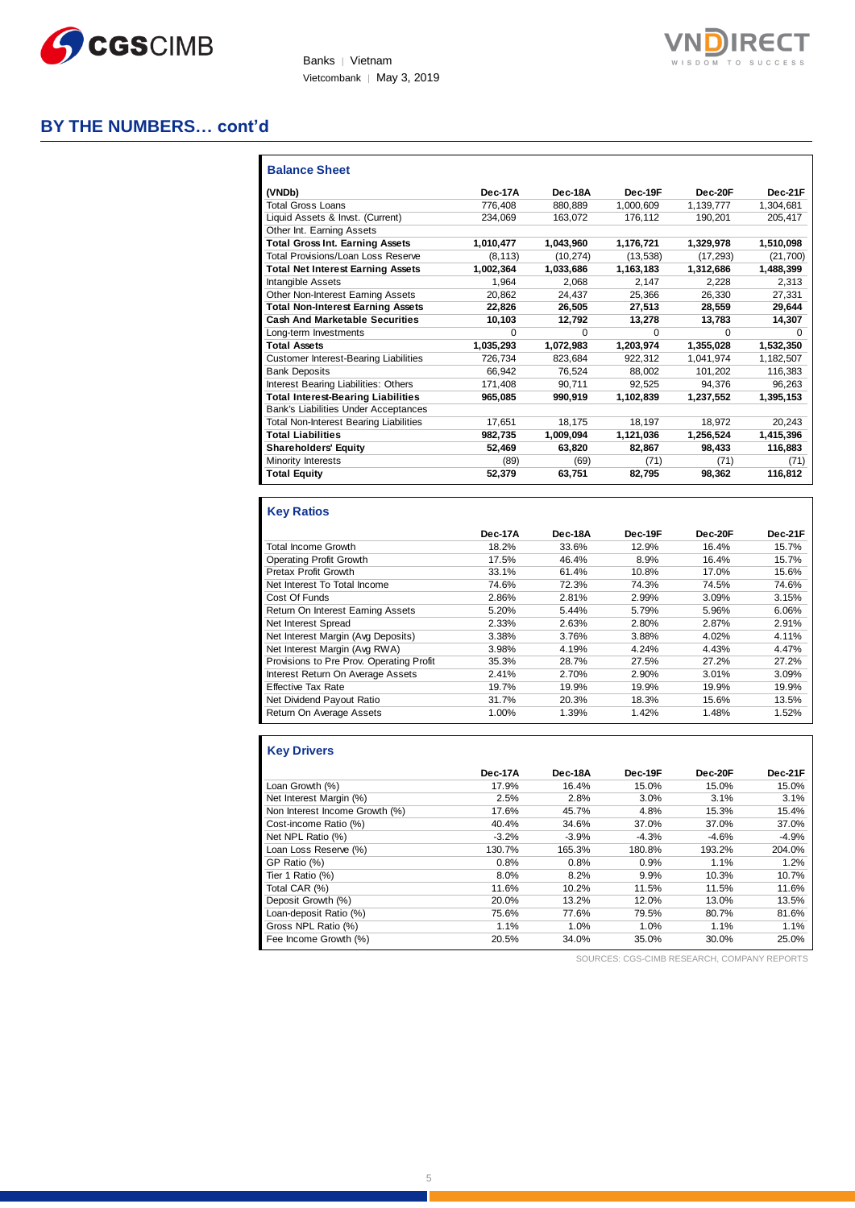

Banks | Vietnam Vietcombank | May 3, 2019

# **BY THE NUMBERS… cont'd**

| <b>Balance Sheet</b>                          |           |           |           |           |           |
|-----------------------------------------------|-----------|-----------|-----------|-----------|-----------|
| (VNDb)                                        | Dec-17A   | Dec-18A   | Dec-19F   | Dec-20F   | Dec-21F   |
| <b>Total Gross Loans</b>                      | 776.408   | 880.889   | 1,000,609 | 1,139,777 | 1,304,681 |
| Liquid Assets & Invst. (Current)              | 234,069   | 163,072   | 176,112   | 190,201   | 205,417   |
| Other Int. Earning Assets                     |           |           |           |           |           |
| <b>Total Gross Int. Earning Assets</b>        | 1,010,477 | 1,043,960 | 1,176,721 | 1,329,978 | 1,510,098 |
| Total Provisions/Loan Loss Reserve            | (8, 113)  | (10, 274) | (13, 538) | (17, 293) | (21, 700) |
| <b>Total Net Interest Earning Assets</b>      | 1,002,364 | 1.033.686 | 1.163.183 | 1.312.686 | 1,488,399 |
| <b>Intangible Assets</b>                      | 1.964     | 2.068     | 2.147     | 2.228     | 2.313     |
| Other Non-Interest Earning Assets             | 20,862    | 24,437    | 25,366    | 26,330    | 27,331    |
| <b>Total Non-Interest Earning Assets</b>      | 22,826    | 26,505    | 27,513    | 28,559    | 29,644    |
| <b>Cash And Marketable Securities</b>         | 10,103    | 12,792    | 13,278    | 13,783    | 14,307    |
| Long-term Investments                         | $\Omega$  | $\Omega$  | $\Omega$  | $\Omega$  | $\Omega$  |
| <b>Total Assets</b>                           | 1,035,293 | 1.072.983 | 1.203.974 | 1.355.028 | 1,532,350 |
| <b>Customer Interest-Bearing Liabilities</b>  | 726,734   | 823,684   | 922.312   | 1,041,974 | 1,182,507 |
| <b>Bank Deposits</b>                          | 66.942    | 76.524    | 88.002    | 101,202   | 116,383   |
| Interest Bearing Liabilities: Others          | 171,408   | 90.711    | 92.525    | 94.376    | 96,263    |
| <b>Total Interest-Bearing Liabilities</b>     | 965,085   | 990.919   | 1,102,839 | 1,237,552 | 1,395,153 |
| Bank's Liabilities Under Acceptances          |           |           |           |           |           |
| <b>Total Non-Interest Bearing Liabilities</b> | 17,651    | 18,175    | 18,197    | 18.972    | 20,243    |
| <b>Total Liabilities</b>                      | 982.735   | 1.009.094 | 1,121,036 | 1,256,524 | 1,415,396 |
| <b>Shareholders' Equity</b>                   | 52,469    | 63.820    | 82,867    | 98,433    | 116,883   |
| <b>Minority Interests</b>                     | (89)      | (69)      | (71)      | (71)      | (71)      |
| <b>Total Equity</b>                           | 52,379    | 63,751    | 82,795    | 98,362    | 116,812   |

# **Key Ratios**

|                                          | Dec-17A | Dec-18A | Dec-19F | Dec-20F | Dec-21F |
|------------------------------------------|---------|---------|---------|---------|---------|
| <b>Total Income Growth</b>               | 18.2%   | 33.6%   | 12.9%   | 16.4%   | 15.7%   |
| Operating Profit Growth                  | 17.5%   | 46.4%   | 8.9%    | 16.4%   | 15.7%   |
| Pretax Profit Growth                     | 33.1%   | 61.4%   | 10.8%   | 17.0%   | 15.6%   |
| Net Interest To Total Income             | 74.6%   | 72.3%   | 74.3%   | 74.5%   | 74.6%   |
| Cost Of Funds                            | 2.86%   | 2.81%   | 2.99%   | 3.09%   | 3.15%   |
| Return On Interest Earning Assets        | 5.20%   | 5.44%   | 5.79%   | 5.96%   | 6.06%   |
| Net Interest Spread                      | 2.33%   | 2.63%   | 2.80%   | 2.87%   | 2.91%   |
| Net Interest Margin (Avg Deposits)       | 3.38%   | 3.76%   | 3.88%   | 4.02%   | 4.11%   |
| Net Interest Margin (Avg RWA)            | 3.98%   | 4.19%   | 4.24%   | 4.43%   | 4.47%   |
| Provisions to Pre Prov. Operating Profit | 35.3%   | 28.7%   | 27.5%   | 27.2%   | 27.2%   |
| Interest Return On Average Assets        | 2.41%   | 2.70%   | 2.90%   | 3.01%   | 3.09%   |
| <b>Effective Tax Rate</b>                | 19.7%   | 19.9%   | 19.9%   | 19.9%   | 19.9%   |
| Net Dividend Payout Ratio                | 31.7%   | 20.3%   | 18.3%   | 15.6%   | 13.5%   |
| Return On Average Assets                 | 1.00%   | 1.39%   | 1.42%   | 1.48%   | 1.52%   |

# **Key Drivers**

|                                | Dec-17A | Dec-18A | Dec-19F | Dec-20F | Dec-21F |
|--------------------------------|---------|---------|---------|---------|---------|
| Loan Growth (%)                | 17.9%   | 16.4%   | 15.0%   | 15.0%   | 15.0%   |
| Net Interest Margin (%)        | 2.5%    | 2.8%    | 3.0%    | 3.1%    | 3.1%    |
| Non Interest Income Growth (%) | 17.6%   | 45.7%   | 4.8%    | 15.3%   | 15.4%   |
| Cost-income Ratio (%)          | 40.4%   | 34.6%   | 37.0%   | 37.0%   | 37.0%   |
| Net NPL Ratio (%)              | $-3.2%$ | $-3.9%$ | $-4.3%$ | $-4.6%$ | $-4.9%$ |
| Loan Loss Reserve (%)          | 130.7%  | 165.3%  | 180.8%  | 193.2%  | 204.0%  |
| GP Ratio (%)                   | 0.8%    | 0.8%    | 0.9%    | 1.1%    | 1.2%    |
| Tier 1 Ratio (%)               | 8.0%    | 8.2%    | 9.9%    | 10.3%   | 10.7%   |
| Total CAR (%)                  | 11.6%   | 10.2%   | 11.5%   | 11.5%   | 11.6%   |
| Deposit Growth (%)             | 20.0%   | 13.2%   | 12.0%   | 13.0%   | 13.5%   |
| Loan-deposit Ratio (%)         | 75.6%   | 77.6%   | 79.5%   | 80.7%   | 81.6%   |
| Gross NPL Ratio (%)            | 1.1%    | 1.0%    | 1.0%    | 1.1%    | 1.1%    |
| Fee Income Growth (%)          | 20.5%   | 34.0%   | 35.0%   | 30.0%   | 25.0%   |

SOURCES: CGS-CIMB RESEARCH, COMPANY REPORTS

**RECT** SUCCESS

T O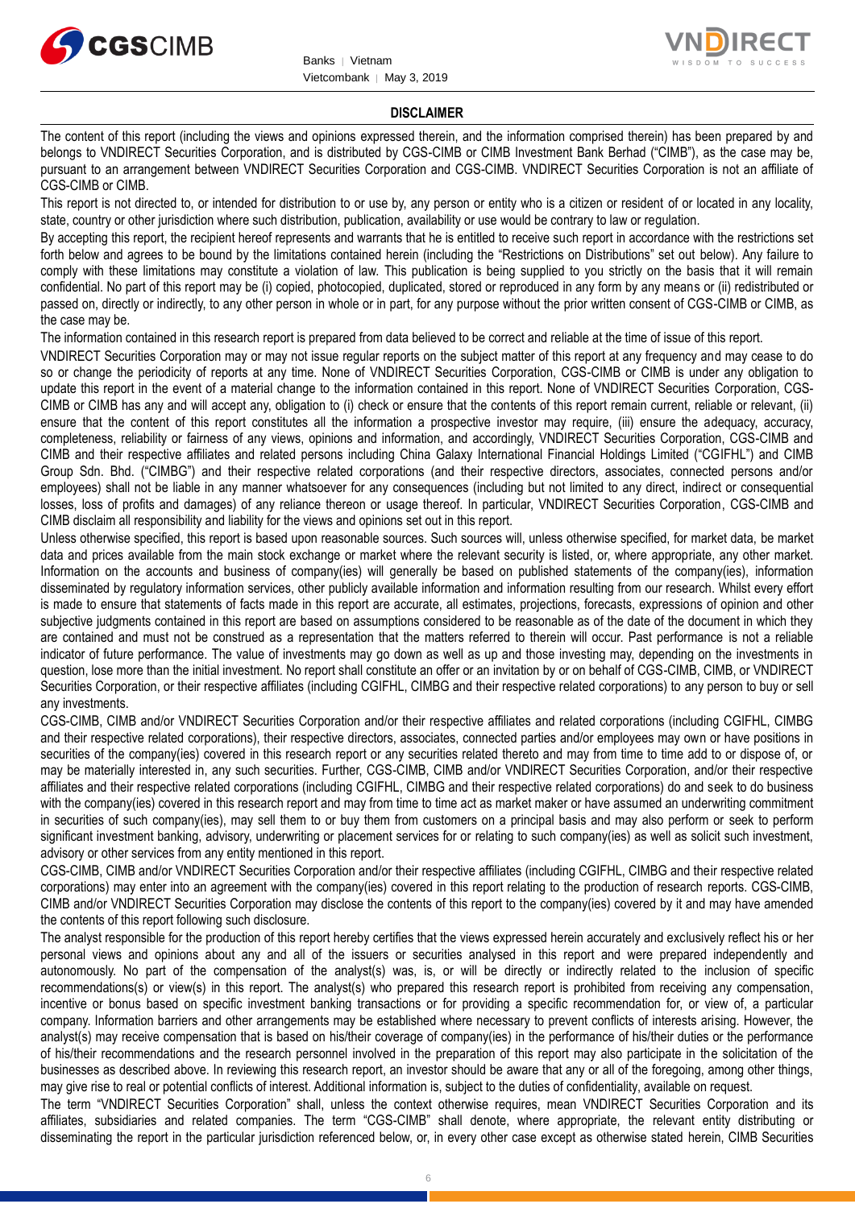



#### **DISCLAIMER**

The content of this report (including the views and opinions expressed therein, and the information comprised therein) has been prepared by and belongs to VNDIRECT Securities Corporation, and is distributed by CGS-CIMB or CIMB Investment Bank Berhad ("CIMB"), as the case may be, pursuant to an arrangement between VNDIRECT Securities Corporation and CGS-CIMB. VNDIRECT Securities Corporation is not an affiliate of CGS-CIMB or CIMB.

This report is not directed to, or intended for distribution to or use by, any person or entity who is a citizen or resident of or located in any locality, state, country or other jurisdiction where such distribution, publication, availability or use would be contrary to law or regulation.

By accepting this report, the recipient hereof represents and warrants that he is entitled to receive such report in accordance with the restrictions set forth below and agrees to be bound by the limitations contained herein (including the "Restrictions on Distributions" set out below). Any failure to comply with these limitations may constitute a violation of law. This publication is being supplied to you strictly on the basis that it will remain confidential. No part of this report may be (i) copied, photocopied, duplicated, stored or reproduced in any form by any means or (ii) redistributed or passed on, directly or indirectly, to any other person in whole or in part, for any purpose without the prior written consent of CGS-CIMB or CIMB, as the case may be.

The information contained in this research report is prepared from data believed to be correct and reliable at the time of issue of this report.

VNDIRECT Securities Corporation may or may not issue regular reports on the subject matter of this report at any frequency and may cease to do so or change the periodicity of reports at any time. None of VNDIRECT Securities Corporation, CGS-CIMB or CIMB is under any obligation to update this report in the event of a material change to the information contained in this report. None of VNDIRECT Securities Corporation, CGS-CIMB or CIMB has any and will accept any, obligation to (i) check or ensure that the contents of this report remain current, reliable or relevant, (ii) ensure that the content of this report constitutes all the information a prospective investor may require, (iii) ensure the adequacy, accuracy, completeness, reliability or fairness of any views, opinions and information, and accordingly, VNDIRECT Securities Corporation, CGS-CIMB and CIMB and their respective affiliates and related persons including China Galaxy International Financial Holdings Limited ("CGIFHL") and CIMB Group Sdn. Bhd. ("CIMBG") and their respective related corporations (and their respective directors, associates, connected persons and/or employees) shall not be liable in any manner whatsoever for any consequences (including but not limited to any direct, indirect or consequential losses, loss of profits and damages) of any reliance thereon or usage thereof. In particular, VNDIRECT Securities Corporation, CGS-CIMB and CIMB disclaim all responsibility and liability for the views and opinions set out in this report.

Unless otherwise specified, this report is based upon reasonable sources. Such sources will, unless otherwise specified, for market data, be market data and prices available from the main stock exchange or market where the relevant security is listed, or, where appropriate, any other market. Information on the accounts and business of company(ies) will generally be based on published statements of the company(ies), information disseminated by regulatory information services, other publicly available information and information resulting from our research. Whilst every effort is made to ensure that statements of facts made in this report are accurate, all estimates, projections, forecasts, expressions of opinion and other subjective judgments contained in this report are based on assumptions considered to be reasonable as of the date of the document in which they are contained and must not be construed as a representation that the matters referred to therein will occur. Past performance is not a reliable indicator of future performance. The value of investments may go down as well as up and those investing may, depending on the investments in question, lose more than the initial investment. No report shall constitute an offer or an invitation by or on behalf of CGS-CIMB, CIMB, or VNDIRECT Securities Corporation, or their respective affiliates (including CGIFHL, CIMBG and their respective related corporations) to any person to buy or sell any investments.

CGS-CIMB, CIMB and/or VNDIRECT Securities Corporation and/or their respective affiliates and related corporations (including CGIFHL, CIMBG and their respective related corporations), their respective directors, associates, connected parties and/or employees may own or have positions in securities of the company(ies) covered in this research report or any securities related thereto and may from time to time add to or dispose of, or may be materially interested in, any such securities. Further, CGS-CIMB, CIMB and/or VNDIRECT Securities Corporation, and/or their respective affiliates and their respective related corporations (including CGIFHL, CIMBG and their respective related corporations) do and seek to do business with the company(ies) covered in this research report and may from time to time act as market maker or have assumed an underwriting commitment in securities of such company(ies), may sell them to or buy them from customers on a principal basis and may also perform or seek to perform significant investment banking, advisory, underwriting or placement services for or relating to such company(ies) as well as solicit such investment, advisory or other services from any entity mentioned in this report.

CGS-CIMB, CIMB and/or VNDIRECT Securities Corporation and/or their respective affiliates (including CGIFHL, CIMBG and their respective related corporations) may enter into an agreement with the company(ies) covered in this report relating to the production of research reports. CGS-CIMB, CIMB and/or VNDIRECT Securities Corporation may disclose the contents of this report to the company(ies) covered by it and may have amended the contents of this report following such disclosure.

The analyst responsible for the production of this report hereby certifies that the views expressed herein accurately and exclusively reflect his or her personal views and opinions about any and all of the issuers or securities analysed in this report and were prepared independently and autonomously. No part of the compensation of the analyst(s) was, is, or will be directly or indirectly related to the inclusion of specific recommendations(s) or view(s) in this report. The analyst(s) who prepared this research report is prohibited from receiving any compensation, incentive or bonus based on specific investment banking transactions or for providing a specific recommendation for, or view of, a particular company. Information barriers and other arrangements may be established where necessary to prevent conflicts of interests arising. However, the analyst(s) may receive compensation that is based on his/their coverage of company(ies) in the performance of his/their duties or the performance of his/their recommendations and the research personnel involved in the preparation of this report may also participate in the solicitation of the businesses as described above. In reviewing this research report, an investor should be aware that any or all of the foregoing, among other things, may give rise to real or potential conflicts of interest. Additional information is, subject to the duties of confidentiality, available on request.

The term "VNDIRECT Securities Corporation" shall, unless the context otherwise requires, mean VNDIRECT Securities Corporation and its affiliates, subsidiaries and related companies. The term "CGS-CIMB" shall denote, where appropriate, the relevant entity distributing or disseminating the report in the particular jurisdiction referenced below, or, in every other case except as otherwise stated herein, CIMB Securities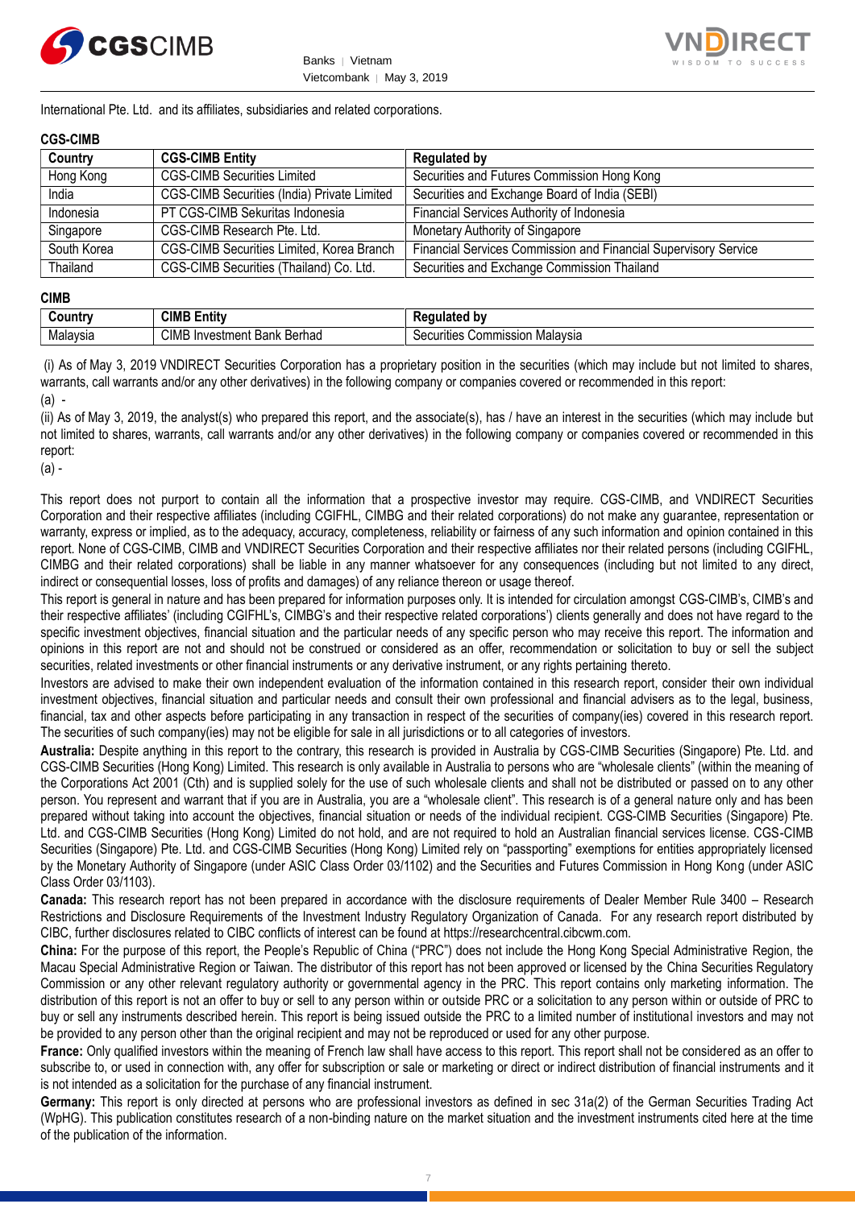



International Pte. Ltd. and its affiliates, subsidiaries and related corporations.

#### **CGS-CIMB**

| Country     | <b>CGS-CIMB Entity</b>                           | <b>Regulated by</b>                                             |
|-------------|--------------------------------------------------|-----------------------------------------------------------------|
| Hong Kong   | <b>CGS-CIMB Securities Limited</b>               | Securities and Futures Commission Hong Kong                     |
| India       | CGS-CIMB Securities (India) Private Limited      | Securities and Exchange Board of India (SEBI)                   |
| Indonesia   | PT CGS-CIMB Sekuritas Indonesia                  | Financial Services Authority of Indonesia                       |
| Singapore   | CGS-CIMB Research Pte. Ltd.                      | Monetary Authority of Singapore                                 |
| South Korea | <b>CGS-CIMB Securities Limited, Korea Branch</b> | Financial Services Commission and Financial Supervisory Service |
| Thailand    | CGS-CIMB Securities (Thailand) Co. Ltd.          | Securities and Exchange Commission Thailand                     |

#### **CIMB**

| . .<br>∶ountr | <b>CIMB E</b><br><br><b>Entit</b> v                  | b٧<br>$\mathbf{H}$<br>M                     |
|---------------|------------------------------------------------------|---------------------------------------------|
| Malavsia      | <b>CIMB</b><br>Berhad<br>Investment<br>Daniz<br>Odl' | . Malavsia<br>`ommission<br>ecurities<br>ັບ |

(i) As of May 3, 2019 VNDIRECT Securities Corporation has a proprietary position in the securities (which may include but not limited to shares, warrants, call warrants and/or any other derivatives) in the following company or companies covered or recommended in this report: (a) -

(ii) As of May 3, 2019, the analyst(s) who prepared this report, and the associate(s), has / have an interest in the securities (which may include but not limited to shares, warrants, call warrants and/or any other derivatives) in the following company or companies covered or recommended in this report:

(a) -

This report does not purport to contain all the information that a prospective investor may require. CGS-CIMB, and VNDIRECT Securities Corporation and their respective affiliates (including CGIFHL, CIMBG and their related corporations) do not make any guarantee, representation or warranty, express or implied, as to the adequacy, accuracy, completeness, reliability or fairness of any such information and opinion contained in this report. None of CGS-CIMB, CIMB and VNDIRECT Securities Corporation and their respective affiliates nor their related persons (including CGIFHL, CIMBG and their related corporations) shall be liable in any manner whatsoever for any consequences (including but not limited to any direct, indirect or consequential losses, loss of profits and damages) of any reliance thereon or usage thereof.

This report is general in nature and has been prepared for information purposes only. It is intended for circulation amongst CGS-CIMB's, CIMB's and their respective affiliates' (including CGIFHL's, CIMBG's and their respective related corporations') clients generally and does not have regard to the specific investment objectives, financial situation and the particular needs of any specific person who may receive this report. The information and opinions in this report are not and should not be construed or considered as an offer, recommendation or solicitation to buy or sell the subject securities, related investments or other financial instruments or any derivative instrument, or any rights pertaining thereto.

Investors are advised to make their own independent evaluation of the information contained in this research report, consider their own individual investment objectives, financial situation and particular needs and consult their own professional and financial advisers as to the legal, business, financial, tax and other aspects before participating in any transaction in respect of the securities of company(ies) covered in this research report. The securities of such company(ies) may not be eligible for sale in all jurisdictions or to all categories of investors.

**Australia:** Despite anything in this report to the contrary, this research is provided in Australia by CGS-CIMB Securities (Singapore) Pte. Ltd. and CGS-CIMB Securities (Hong Kong) Limited. This research is only available in Australia to persons who are "wholesale clients" (within the meaning of the Corporations Act 2001 (Cth) and is supplied solely for the use of such wholesale clients and shall not be distributed or passed on to any other person. You represent and warrant that if you are in Australia, you are a "wholesale client". This research is of a general nature only and has been prepared without taking into account the objectives, financial situation or needs of the individual recipient. CGS-CIMB Securities (Singapore) Pte. Ltd. and CGS-CIMB Securities (Hong Kong) Limited do not hold, and are not required to hold an Australian financial services license. CGS-CIMB Securities (Singapore) Pte. Ltd. and CGS-CIMB Securities (Hong Kong) Limited rely on "passporting" exemptions for entities appropriately licensed by the Monetary Authority of Singapore (under ASIC Class Order 03/1102) and the Securities and Futures Commission in Hong Kong (under ASIC Class Order 03/1103).

**Canada:** This research report has not been prepared in accordance with the disclosure requirements of Dealer Member Rule 3400 – Research Restrictions and Disclosure Requirements of the Investment Industry Regulatory Organization of Canada. For any research report distributed by CIBC, further disclosures related to CIBC conflicts of interest can be found at https://researchcentral.cibcwm.com.

**China:** For the purpose of this report, the People's Republic of China ("PRC") does not include the Hong Kong Special Administrative Region, the Macau Special Administrative Region or Taiwan. The distributor of this report has not been approved or licensed by the China Securities Regulatory Commission or any other relevant regulatory authority or governmental agency in the PRC. This report contains only marketing information. The distribution of this report is not an offer to buy or sell to any person within or outside PRC or a solicitation to any person within or outside of PRC to buy or sell any instruments described herein. This report is being issued outside the PRC to a limited number of institutional investors and may not be provided to any person other than the original recipient and may not be reproduced or used for any other purpose.

**France:** Only qualified investors within the meaning of French law shall have access to this report. This report shall not be considered as an offer to subscribe to, or used in connection with, any offer for subscription or sale or marketing or direct or indirect distribution of financial instruments and it is not intended as a solicitation for the purchase of any financial instrument.

**Germany:** This report is only directed at persons who are professional investors as defined in sec 31a(2) of the German Securities Trading Act (WpHG). This publication constitutes research of a non-binding nature on the market situation and the investment instruments cited here at the time of the publication of the information.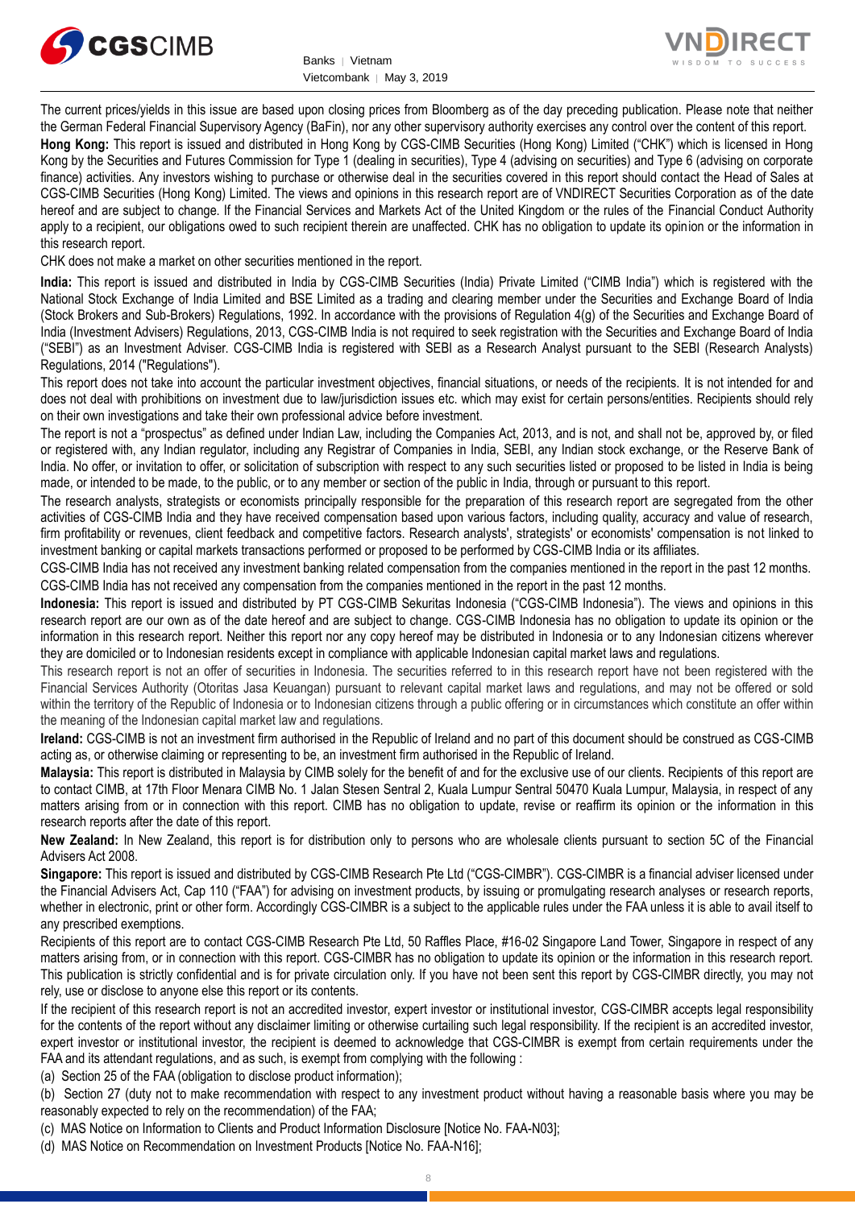



The current prices/yields in this issue are based upon closing prices from Bloomberg as of the day preceding publication. Please note that neither the German Federal Financial Supervisory Agency (BaFin), nor any other supervisory authority exercises any control over the content of this report.

**Hong Kong:** This report is issued and distributed in Hong Kong by CGS-CIMB Securities (Hong Kong) Limited ("CHK") which is licensed in Hong Kong by the Securities and Futures Commission for Type 1 (dealing in securities), Type 4 (advising on securities) and Type 6 (advising on corporate finance) activities. Any investors wishing to purchase or otherwise deal in the securities covered in this report should contact the Head of Sales at CGS-CIMB Securities (Hong Kong) Limited. The views and opinions in this research report are of VNDIRECT Securities Corporation as of the date hereof and are subject to change. If the Financial Services and Markets Act of the United Kingdom or the rules of the Financial Conduct Authority apply to a recipient, our obligations owed to such recipient therein are unaffected. CHK has no obligation to update its opinion or the information in this research report.

CHK does not make a market on other securities mentioned in the report.

**India:** This report is issued and distributed in India by CGS-CIMB Securities (India) Private Limited ("CIMB India") which is registered with the National Stock Exchange of India Limited and BSE Limited as a trading and clearing member under the Securities and Exchange Board of India (Stock Brokers and Sub-Brokers) Regulations, 1992. In accordance with the provisions of Regulation 4(g) of the Securities and Exchange Board of India (Investment Advisers) Regulations, 2013, CGS-CIMB India is not required to seek registration with the Securities and Exchange Board of India ("SEBI") as an Investment Adviser. CGS-CIMB India is registered with SEBI as a Research Analyst pursuant to the SEBI (Research Analysts) Regulations, 2014 ("Regulations").

This report does not take into account the particular investment objectives, financial situations, or needs of the recipients. It is not intended for and does not deal with prohibitions on investment due to law/jurisdiction issues etc. which may exist for certain persons/entities. Recipients should rely on their own investigations and take their own professional advice before investment.

The report is not a "prospectus" as defined under Indian Law, including the Companies Act, 2013, and is not, and shall not be, approved by, or filed or registered with, any Indian regulator, including any Registrar of Companies in India, SEBI, any Indian stock exchange, or the Reserve Bank of India. No offer, or invitation to offer, or solicitation of subscription with respect to any such securities listed or proposed to be listed in India is being made, or intended to be made, to the public, or to any member or section of the public in India, through or pursuant to this report.

The research analysts, strategists or economists principally responsible for the preparation of this research report are segregated from the other activities of CGS-CIMB India and they have received compensation based upon various factors, including quality, accuracy and value of research, firm profitability or revenues, client feedback and competitive factors. Research analysts', strategists' or economists' compensation is not linked to investment banking or capital markets transactions performed or proposed to be performed by CGS-CIMB India or its affiliates.

CGS-CIMB India has not received any investment banking related compensation from the companies mentioned in the report in the past 12 months. CGS-CIMB India has not received any compensation from the companies mentioned in the report in the past 12 months.

**Indonesia:** This report is issued and distributed by PT CGS-CIMB Sekuritas Indonesia ("CGS-CIMB Indonesia"). The views and opinions in this research report are our own as of the date hereof and are subject to change. CGS-CIMB Indonesia has no obligation to update its opinion or the information in this research report. Neither this report nor any copy hereof may be distributed in Indonesia or to any Indonesian citizens wherever they are domiciled or to Indonesian residents except in compliance with applicable Indonesian capital market laws and regulations.

This research report is not an offer of securities in Indonesia. The securities referred to in this research report have not been registered with the Financial Services Authority (Otoritas Jasa Keuangan) pursuant to relevant capital market laws and regulations, and may not be offered or sold within the territory of the Republic of Indonesia or to Indonesian citizens through a public offering or in circumstances which constitute an offer within the meaning of the Indonesian capital market law and regulations.

**Ireland:** CGS-CIMB is not an investment firm authorised in the Republic of Ireland and no part of this document should be construed as CGS-CIMB acting as, or otherwise claiming or representing to be, an investment firm authorised in the Republic of Ireland.

**Malaysia:** This report is distributed in Malaysia by CIMB solely for the benefit of and for the exclusive use of our clients. Recipients of this report are to contact CIMB, at 17th Floor Menara CIMB No. 1 Jalan Stesen Sentral 2, Kuala Lumpur Sentral 50470 Kuala Lumpur, Malaysia, in respect of any matters arising from or in connection with this report. CIMB has no obligation to update, revise or reaffirm its opinion or the information in this research reports after the date of this report.

**New Zealand:** In New Zealand, this report is for distribution only to persons who are wholesale clients pursuant to section 5C of the Financial Advisers Act 2008.

**Singapore:** This report is issued and distributed by CGS-CIMB Research Pte Ltd ("CGS-CIMBR"). CGS-CIMBR is a financial adviser licensed under the Financial Advisers Act, Cap 110 ("FAA") for advising on investment products, by issuing or promulgating research analyses or research reports, whether in electronic, print or other form. Accordingly CGS-CIMBR is a subject to the applicable rules under the FAA unless it is able to avail itself to any prescribed exemptions.

Recipients of this report are to contact CGS-CIMB Research Pte Ltd, 50 Raffles Place, #16-02 Singapore Land Tower, Singapore in respect of any matters arising from, or in connection with this report. CGS-CIMBR has no obligation to update its opinion or the information in this research report. This publication is strictly confidential and is for private circulation only. If you have not been sent this report by CGS-CIMBR directly, you may not rely, use or disclose to anyone else this report or its contents.

If the recipient of this research report is not an accredited investor, expert investor or institutional investor, CGS-CIMBR accepts legal responsibility for the contents of the report without any disclaimer limiting or otherwise curtailing such legal responsibility. If the recipient is an accredited investor, expert investor or institutional investor, the recipient is deemed to acknowledge that CGS-CIMBR is exempt from certain requirements under the FAA and its attendant regulations, and as such, is exempt from complying with the following :

(a) Section 25 of the FAA (obligation to disclose product information);

(b) Section 27 (duty not to make recommendation with respect to any investment product without having a reasonable basis where you may be reasonably expected to rely on the recommendation) of the FAA;

(c) MAS Notice on Information to Clients and Product Information Disclosure [Notice No. FAA-N03];

(d) MAS Notice on Recommendation on Investment Products [Notice No. FAA-N16];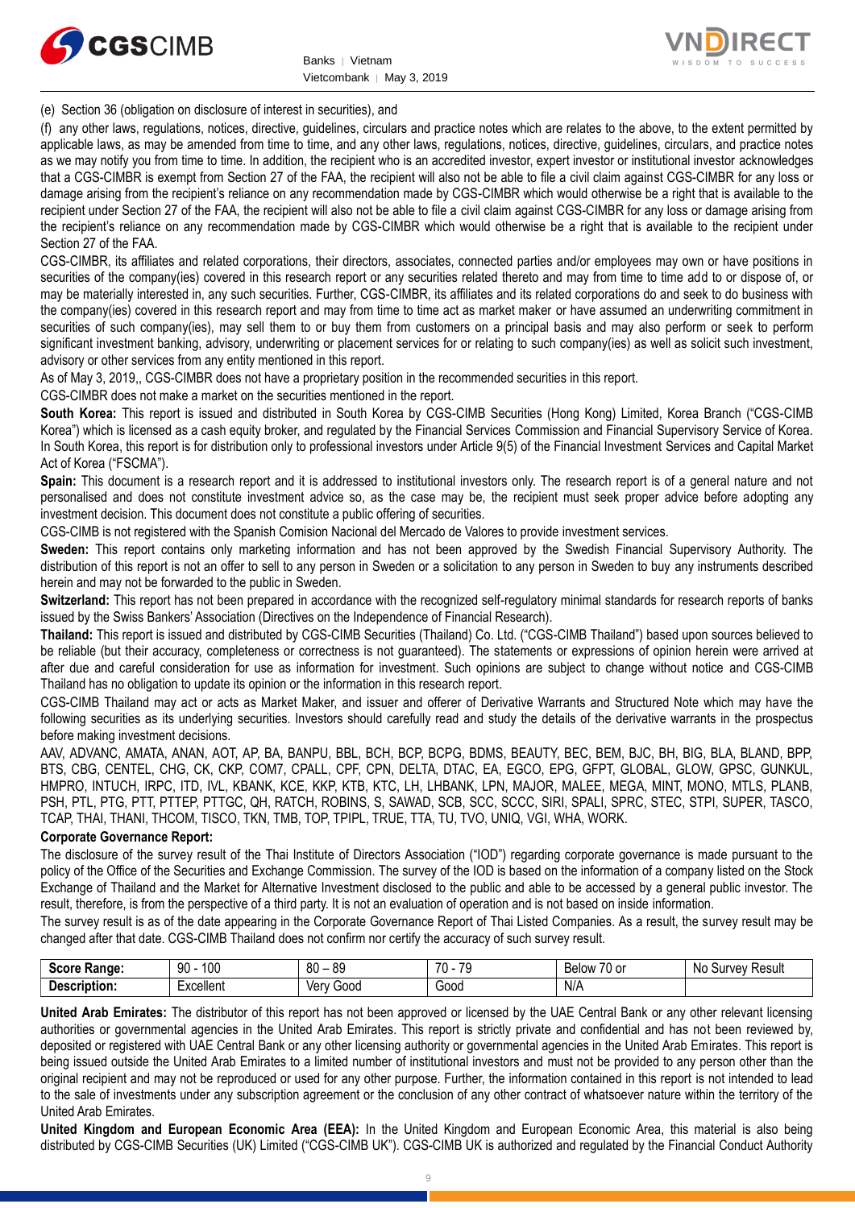



(e) Section 36 (obligation on disclosure of interest in securities), and

(f) any other laws, regulations, notices, directive, guidelines, circulars and practice notes which are relates to the above, to the extent permitted by applicable laws, as may be amended from time to time, and any other laws, regulations, notices, directive, guidelines, circulars, and practice notes as we may notify you from time to time. In addition, the recipient who is an accredited investor, expert investor or institutional investor acknowledges that a CGS-CIMBR is exempt from Section 27 of the FAA, the recipient will also not be able to file a civil claim against CGS-CIMBR for any loss or damage arising from the recipient's reliance on any recommendation made by CGS-CIMBR which would otherwise be a right that is available to the recipient under Section 27 of the FAA, the recipient will also not be able to file a civil claim against CGS-CIMBR for any loss or damage arising from the recipient's reliance on any recommendation made by CGS-CIMBR which would otherwise be a right that is available to the recipient under Section 27 of the FAA.

CGS-CIMBR, its affiliates and related corporations, their directors, associates, connected parties and/or employees may own or have positions in securities of the company(ies) covered in this research report or any securities related thereto and may from time to time add to or dispose of, or may be materially interested in, any such securities. Further, CGS-CIMBR, its affiliates and its related corporations do and seek to do business with the company(ies) covered in this research report and may from time to time act as market maker or have assumed an underwriting commitment in securities of such company(ies), may sell them to or buy them from customers on a principal basis and may also perform or seek to perform significant investment banking, advisory, underwriting or placement services for or relating to such company(ies) as well as solicit such investment, advisory or other services from any entity mentioned in this report.

As of May 3, 2019,, CGS-CIMBR does not have a proprietary position in the recommended securities in this report.

CGS-CIMBR does not make a market on the securities mentioned in the report.

**South Korea:** This report is issued and distributed in South Korea by CGS-CIMB Securities (Hong Kong) Limited, Korea Branch ("CGS-CIMB Korea") which is licensed as a cash equity broker, and regulated by the Financial Services Commission and Financial Supervisory Service of Korea. In South Korea, this report is for distribution only to professional investors under Article 9(5) of the Financial Investment Services and Capital Market Act of Korea ("FSCMA").

**Spain:** This document is a research report and it is addressed to institutional investors only. The research report is of a general nature and not personalised and does not constitute investment advice so, as the case may be, the recipient must seek proper advice before adopting any investment decision. This document does not constitute a public offering of securities.

CGS-CIMB is not registered with the Spanish Comision Nacional del Mercado de Valores to provide investment services.

**Sweden:** This report contains only marketing information and has not been approved by the Swedish Financial Supervisory Authority. The distribution of this report is not an offer to sell to any person in Sweden or a solicitation to any person in Sweden to buy any instruments described herein and may not be forwarded to the public in Sweden.

**Switzerland:** This report has not been prepared in accordance with the recognized self-regulatory minimal standards for research reports of banks issued by the Swiss Bankers' Association (Directives on the Independence of Financial Research).

**Thailand:** This report is issued and distributed by CGS-CIMB Securities (Thailand) Co. Ltd. ("CGS-CIMB Thailand") based upon sources believed to be reliable (but their accuracy, completeness or correctness is not guaranteed). The statements or expressions of opinion herein were arrived at after due and careful consideration for use as information for investment. Such opinions are subject to change without notice and CGS-CIMB Thailand has no obligation to update its opinion or the information in this research report.

CGS-CIMB Thailand may act or acts as Market Maker, and issuer and offerer of Derivative Warrants and Structured Note which may have the following securities as its underlying securities. Investors should carefully read and study the details of the derivative warrants in the prospectus before making investment decisions.

AAV, ADVANC, AMATA, ANAN, AOT, AP, BA, BANPU, BBL, BCH, BCP, BCPG, BDMS, BEAUTY, BEC, BEM, BJC, BH, BIG, BLA, BLAND, BPP, BTS, CBG, CENTEL, CHG, CK, CKP, COM7, CPALL, CPF, CPN, DELTA, DTAC, EA, EGCO, EPG, GFPT, GLOBAL, GLOW, GPSC, GUNKUL, HMPRO, INTUCH, IRPC, ITD, IVL, KBANK, KCE, KKP, KTB, KTC, LH, LHBANK, LPN, MAJOR, MALEE, MEGA, MINT, MONO, MTLS, PLANB, PSH, PTL, PTG, PTT, PTTEP, PTTGC, QH, RATCH, ROBINS, S, SAWAD, SCB, SCC, SCCC, SIRI, SPALI, SPRC, STEC, STPI, SUPER, TASCO, TCAP, THAI, THANI, THCOM, TISCO, TKN, TMB, TOP, TPIPL, TRUE, TTA, TU, TVO, UNIQ, VGI, WHA, WORK.

#### **Corporate Governance Report:**

The disclosure of the survey result of the Thai Institute of Directors Association ("IOD") regarding corporate governance is made pursuant to the policy of the Office of the Securities and Exchange Commission. The survey of the IOD is based on the information of a company listed on the Stock Exchange of Thailand and the Market for Alternative Investment disclosed to the public and able to be accessed by a general public investor. The result, therefore, is from the perspective of a third party. It is not an evaluation of operation and is not based on inside information.

The survey result is as of the date appearing in the Corporate Governance Report of Thai Listed Companies. As a result, the survey result may be changed after that date. CGS-CIMB Thailand does not confirm nor certify the accuracy of such survey result.

| <b>Score</b><br>Range: | 100<br>90                                                                 | 80<br>or<br>రన<br>$\overline{\phantom{0}}$ | 70<br>$\overline{\phantom{a}}$<br>. . | $\overline{\phantom{a}}$<br>Below<br>/U or | N0<br>Result<br>Survey |
|------------------------|---------------------------------------------------------------------------|--------------------------------------------|---------------------------------------|--------------------------------------------|------------------------|
| Description:           | $\overline{\phantom{0}}$<br>$L$ voollon <sup>+</sup><br><b>EXCEILEITE</b> | Ven<br>Good                                | Good                                  | N/A                                        |                        |

**United Arab Emirates:** The distributor of this report has not been approved or licensed by the UAE Central Bank or any other relevant licensing authorities or governmental agencies in the United Arab Emirates. This report is strictly private and confidential and has not been reviewed by, deposited or registered with UAE Central Bank or any other licensing authority or governmental agencies in the United Arab Emirates. This report is being issued outside the United Arab Emirates to a limited number of institutional investors and must not be provided to any person other than the original recipient and may not be reproduced or used for any other purpose. Further, the information contained in this report is not intended to lead to the sale of investments under any subscription agreement or the conclusion of any other contract of whatsoever nature within the territory of the United Arab Emirates.

**United Kingdom and European Economic Area (EEA):** In the United Kingdom and European Economic Area, this material is also being distributed by CGS-CIMB Securities (UK) Limited ("CGS-CIMB UK"). CGS-CIMB UK is authorized and regulated by the Financial Conduct Authority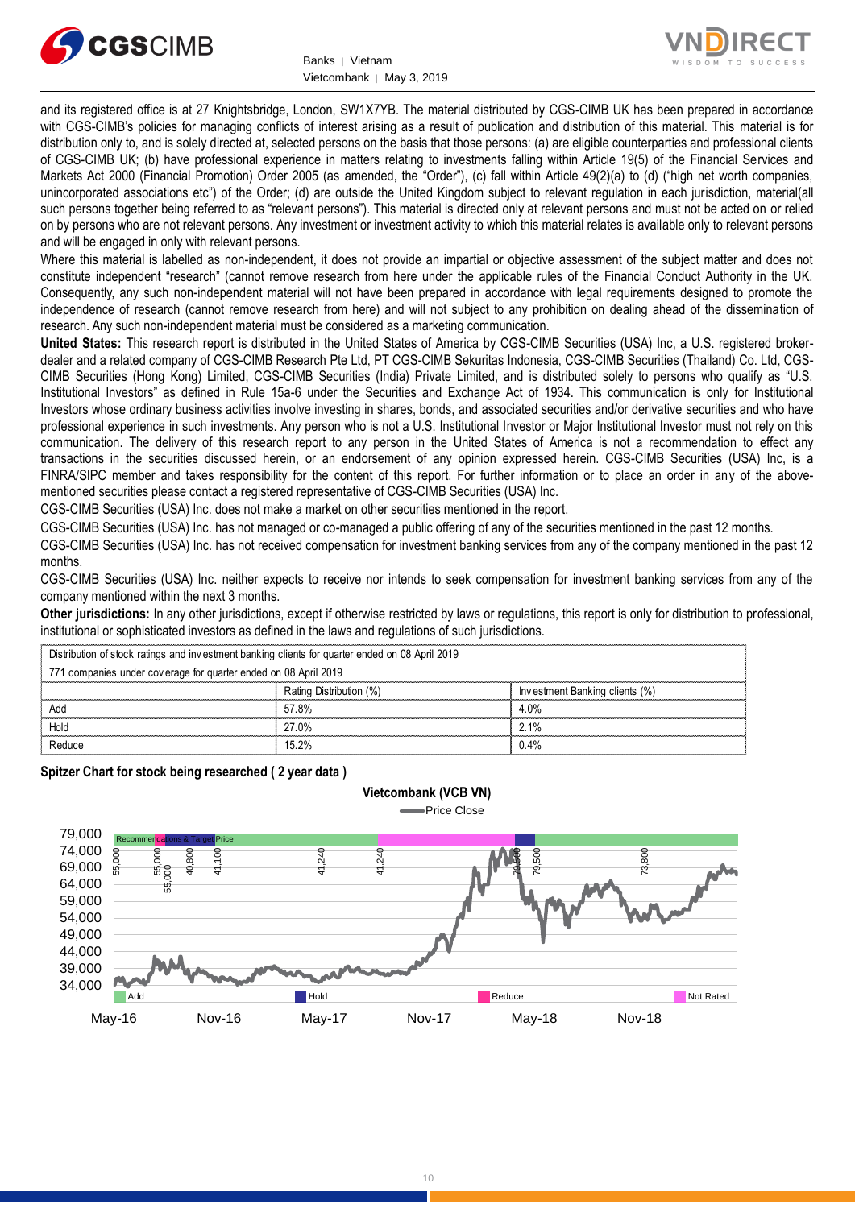



and its registered office is at 27 Knightsbridge, London, SW1X7YB. The material distributed by CGS-CIMB UK has been prepared in accordance with CGS-CIMB's policies for managing conflicts of interest arising as a result of publication and distribution of this material. This material is for distribution only to, and is solely directed at, selected persons on the basis that those persons: (a) are eligible counterparties and professional clients of CGS-CIMB UK; (b) have professional experience in matters relating to investments falling within Article 19(5) of the Financial Services and Markets Act 2000 (Financial Promotion) Order 2005 (as amended, the "Order"), (c) fall within Article 49(2)(a) to (d) ("high net worth companies, unincorporated associations etc") of the Order; (d) are outside the United Kingdom subject to relevant regulation in each jurisdiction, material(all such persons together being referred to as "relevant persons"). This material is directed only at relevant persons and must not be acted on or relied on by persons who are not relevant persons. Any investment or investment activity to which this material relates is available only to relevant persons and will be engaged in only with relevant persons.

Where this material is labelled as non-independent, it does not provide an impartial or objective assessment of the subject matter and does not constitute independent "research" (cannot remove research from here under the applicable rules of the Financial Conduct Authority in the UK. Consequently, any such non-independent material will not have been prepared in accordance with legal requirements designed to promote the independence of research (cannot remove research from here) and will not subject to any prohibition on dealing ahead of the dissemination of research. Any such non-independent material must be considered as a marketing communication.

**United States:** This research report is distributed in the United States of America by CGS-CIMB Securities (USA) Inc, a U.S. registered brokerdealer and a related company of CGS-CIMB Research Pte Ltd, PT CGS-CIMB Sekuritas Indonesia, CGS-CIMB Securities (Thailand) Co. Ltd, CGS-CIMB Securities (Hong Kong) Limited, CGS-CIMB Securities (India) Private Limited, and is distributed solely to persons who qualify as "U.S. Institutional Investors" as defined in Rule 15a-6 under the Securities and Exchange Act of 1934. This communication is only for Institutional Investors whose ordinary business activities involve investing in shares, bonds, and associated securities and/or derivative securities and who have professional experience in such investments. Any person who is not a U.S. Institutional Investor or Major Institutional Investor must not rely on this communication. The delivery of this research report to any person in the United States of America is not a recommendation to effect any transactions in the securities discussed herein, or an endorsement of any opinion expressed herein. CGS-CIMB Securities (USA) Inc, is a FINRA/SIPC member and takes responsibility for the content of this report. For further information or to place an order in any of the abovementioned securities please contact a registered representative of CGS-CIMB Securities (USA) Inc.

CGS-CIMB Securities (USA) Inc. does not make a market on other securities mentioned in the report.

CGS-CIMB Securities (USA) Inc. has not managed or co-managed a public offering of any of the securities mentioned in the past 12 months.

CGS-CIMB Securities (USA) Inc. has not received compensation for investment banking services from any of the company mentioned in the past 12 months.

CGS-CIMB Securities (USA) Inc. neither expects to receive nor intends to seek compensation for investment banking services from any of the company mentioned within the next 3 months.

**Other jurisdictions:** In any other jurisdictions, except if otherwise restricted by laws or regulations, this report is only for distribution to professional, institutional or sophisticated investors as defined in the laws and regulations of such jurisdictions. being the purisdictions: In any other jurisdictions, except if otherwise restricted by left<br>intuitional or sophisticated investors as defined in the laws and regulations of s<br>Distribution of stock ratings and investment ba

**Vietcombank (VCB VN)**

|                                                                                                 | <b>Other jurisdictions:</b> In any other jurisdictions, except if otherwise restricted by laws or regulations, this report is only for distribution to<br>institutional or sophisticated investors as defined in the laws and regulations of such jurisdictions. |                                |  |
|-------------------------------------------------------------------------------------------------|------------------------------------------------------------------------------------------------------------------------------------------------------------------------------------------------------------------------------------------------------------------|--------------------------------|--|
| Distribution of stock ratings and investment banking clients for quarter ended on 08 April 2019 |                                                                                                                                                                                                                                                                  |                                |  |
| 771 companies under coverage for quarter ended on 08 April 2019                                 |                                                                                                                                                                                                                                                                  |                                |  |
|                                                                                                 | Rating Distribution (%)                                                                                                                                                                                                                                          | Investment Banking clients (%) |  |
| Add                                                                                             | 57.8%                                                                                                                                                                                                                                                            | 4.0%                           |  |
| Hold                                                                                            | 27.0%                                                                                                                                                                                                                                                            | $2.1\%$                        |  |
| Reduce                                                                                          | 15 2%                                                                                                                                                                                                                                                            | 0.4%                           |  |

**Spitzer Chart for stock being researched ( 2 year data )** 

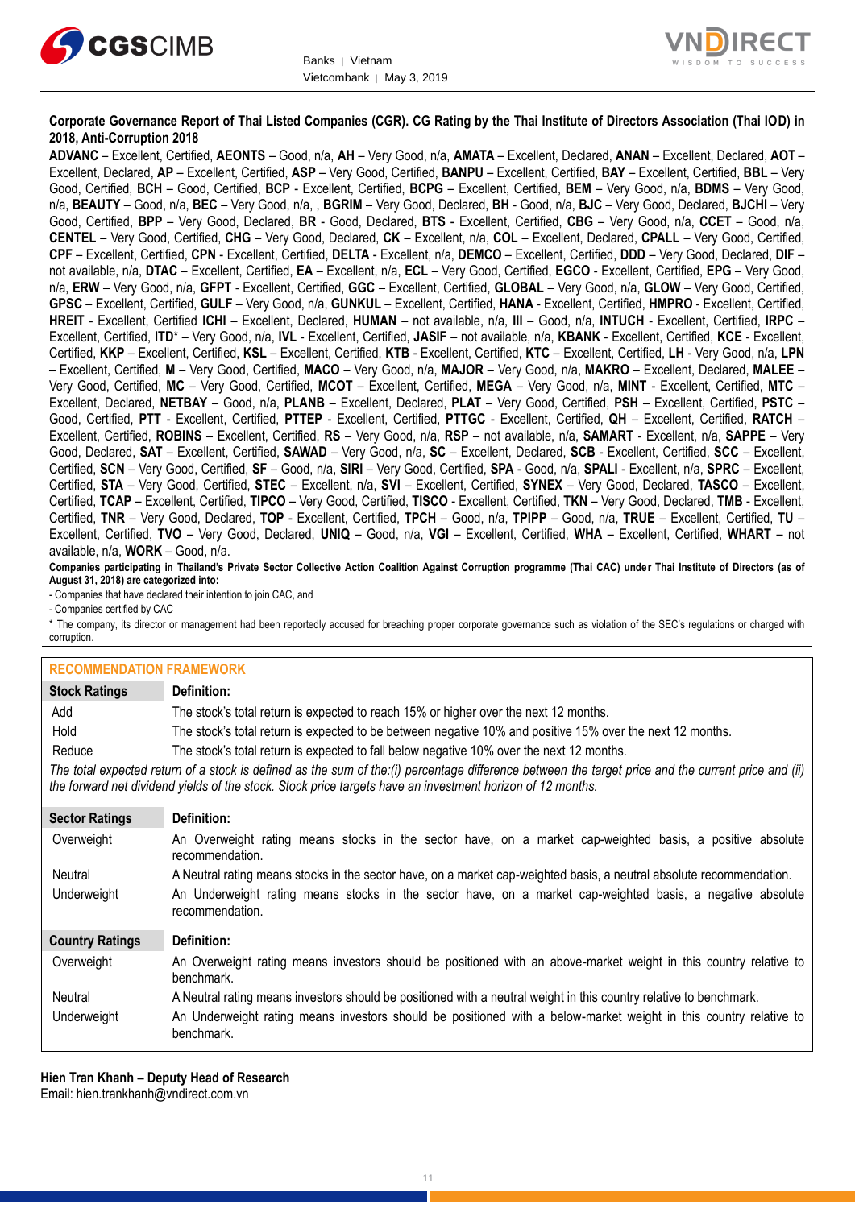



# **Corporate Governance Report of Thai Listed Companies (CGR). CG Rating by the Thai Institute of Directors Association (Thai IOD) in 2018, Anti-Corruption 2018**

**ADVANC** – Excellent, Certified, **AEONTS** – Good, n/a, **AH** – Very Good, n/a, **AMATA** – Excellent, Declared, **ANAN** – Excellent, Declared, **AOT** – Excellent, Declared, **AP** – Excellent, Certified, **ASP** – Very Good, Certified, **BANPU** – Excellent, Certified, **BAY** – Excellent, Certified, **BBL** – Very Good, Certified, **BCH** – Good, Certified, **BCP** - Excellent, Certified, **BCPG** – Excellent, Certified, **BEM** – Very Good, n/a, **BDMS** – Very Good, n/a, **BEAUTY** – Good, n/a, **BEC** – Very Good, n/a, , **BGRIM** – Very Good, Declared, **BH** - Good, n/a, **BJC** – Very Good, Declared, **BJCHI** – Very Good, Certified, **BPP** – Very Good, Declared, **BR** - Good, Declared, **BTS** - Excellent, Certified, **CBG** – Very Good, n/a, **CCET** – Good, n/a, **CENTEL** – Very Good, Certified, **CHG** – Very Good, Declared, **CK** – Excellent, n/a, **COL** – Excellent, Declared, **CPALL** – Very Good, Certified, **CPF** – Excellent, Certified, **CPN** - Excellent, Certified, **DELTA** - Excellent, n/a, **DEMCO** – Excellent, Certified, **DDD** – Very Good, Declared, **DIF** – not available, n/a, **DTAC** – Excellent, Certified, **EA** – Excellent, n/a, **ECL** – Very Good, Certified, **EGCO** - Excellent, Certified, **EPG** – Very Good, n/a, **ERW** – Very Good, n/a, **GFPT** - Excellent, Certified, **GGC** – Excellent, Certified, **GLOBAL** – Very Good, n/a, **GLOW** – Very Good, Certified, **GPSC** – Excellent, Certified, **GULF** – Very Good, n/a, **GUNKUL** – Excellent, Certified, **HANA** - Excellent, Certified, **HMPRO** - Excellent, Certified, **HREIT** - Excellent, Certified **ICHI** – Excellent, Declared, **HUMAN** – not available, n/a, **III** – Good, n/a, **INTUCH** - Excellent, Certified, **IRPC** – Excellent, Certified, **ITD**\* – Very Good, n/a, **IVL** - Excellent, Certified, **JASIF** – not available, n/a, **KBANK** - Excellent, Certified, **KCE** - Excellent, Certified, **KKP** – Excellent, Certified, **KSL** – Excellent, Certified, **KTB** - Excellent, Certified, **KTC** – Excellent, Certified, **LH** - Very Good, n/a, **LPN** – Excellent, Certified, **M** – Very Good, Certified, **MACO** – Very Good, n/a, **MAJOR** – Very Good, n/a, **MAKRO** – Excellent, Declared, **MALEE** – Very Good, Certified, **MC** – Very Good, Certified, **MCOT** – Excellent, Certified, **MEGA** – Very Good, n/a, **MINT** - Excellent, Certified, **MTC** – Excellent, Declared, **NETBAY** – Good, n/a, **PLANB** – Excellent, Declared, **PLAT** – Very Good, Certified, **PSH** – Excellent, Certified, **PSTC** – Good, Certified, **PTT** - Excellent, Certified, **PTTEP** - Excellent, Certified, **PTTGC** - Excellent, Certified, **QH** – Excellent, Certified, **RATCH** – Excellent, Certified, **ROBINS** – Excellent, Certified, **RS** – Very Good, n/a, **RSP** – not available, n/a, **SAMART** - Excellent, n/a, **SAPPE** – Very Good, Declared, **SAT** – Excellent, Certified, **SAWAD** – Very Good, n/a, **SC** – Excellent, Declared, **SCB** - Excellent, Certified, **SCC** – Excellent, Certified, **SCN** – Very Good, Certified, **SF** – Good, n/a, **SIRI** – Very Good, Certified, **SPA** - Good, n/a, **SPALI** - Excellent, n/a, **SPRC** – Excellent, Certified, **STA** – Very Good, Certified, **STEC** – Excellent, n/a, **SVI** – Excellent, Certified, **SYNEX** – Very Good, Declared, **TASCO** – Excellent, Certified, **TCAP** – Excellent, Certified, **TIPCO** – Very Good, Certified, **TISCO** - Excellent, Certified, **TKN** – Very Good, Declared, **TMB** - Excellent, Certified, **TNR** – Very Good, Declared, **TOP** - Excellent, Certified, **TPCH** – Good, n/a, **TPIPP** – Good, n/a, **TRUE** – Excellent, Certified, **TU** – Excellent, Certified, **TVO** – Very Good, Declared, **UNIQ** – Good, n/a, **VGI** – Excellent, Certified, **WHA** – Excellent, Certified, **WHART** – not available, n/a, **WORK** – Good, n/a.

**Companies participating in Thailand's Private Sector Collective Action Coalition Against Corruption programme (Thai CAC) under Thai Institute of Directors (as of August 31, 2018) are categorized into:**

- Companies that have declared their intention to join CAC, and

- Companies certified by CAC

\* The company, its director or management had been reportedly accused for breaching proper corporate governance such as violation of the SEC's regulations or charged with corruption.

| <b>RECOMMENDATION FRAMEWORK</b> |                                                                                                                                                                                                                                                                   |
|---------------------------------|-------------------------------------------------------------------------------------------------------------------------------------------------------------------------------------------------------------------------------------------------------------------|
| <b>Stock Ratings</b>            | Definition:                                                                                                                                                                                                                                                       |
| Add                             | The stock's total return is expected to reach 15% or higher over the next 12 months.                                                                                                                                                                              |
| Hold                            | The stock's total return is expected to be between negative 10% and positive 15% over the next 12 months.                                                                                                                                                         |
| Reduce                          | The stock's total return is expected to fall below negative 10% over the next 12 months.                                                                                                                                                                          |
|                                 | The total expected return of a stock is defined as the sum of the:(i) percentage difference between the target price and the current price and (ii)<br>the forward net dividend yields of the stock. Stock price targets have an investment horizon of 12 months. |
| <b>Sector Ratings</b>           | Definition:                                                                                                                                                                                                                                                       |
| Overweight                      | An Overweight rating means stocks in the sector have, on a market cap-weighted basis, a positive absolute<br>recommendation.                                                                                                                                      |
| Neutral                         | A Neutral rating means stocks in the sector have, on a market cap-weighted basis, a neutral absolute recommendation.                                                                                                                                              |
| Underweight                     | An Underweight rating means stocks in the sector have, on a market cap-weighted basis, a negative absolute<br>recommendation.                                                                                                                                     |
| <b>Country Ratings</b>          | Definition:                                                                                                                                                                                                                                                       |
| Overweight                      | An Overweight rating means investors should be positioned with an above-market weight in this country relative to<br>benchmark.                                                                                                                                   |
| Neutral                         | A Neutral rating means investors should be positioned with a neutral weight in this country relative to benchmark.                                                                                                                                                |
| Underweight                     | An Underweight rating means investors should be positioned with a below-market weight in this country relative to<br>benchmark.                                                                                                                                   |

**Hien Tran Khanh – Deputy Head of Research**

Email: [hien.trankhanh@vndirect.com.vn](mailto:hien.trankhanh@vndirect.com.vn)